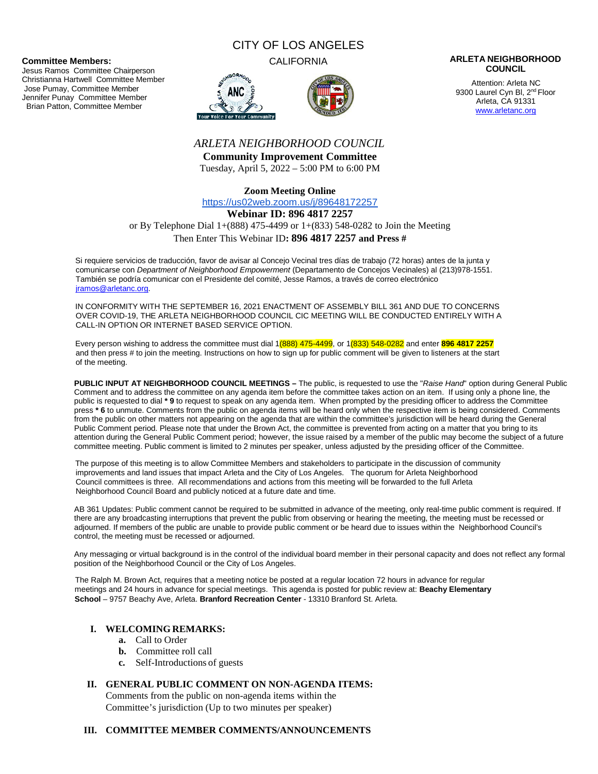#### **Committee Members:**

Jesus Ramos Committee Chairperson Christianna Hartwell Committee Member Jose Pumay, Committee Member Jennifer Punay Committee Member Brian Patton, Committee Member

# CITY OF LOS ANGELES





#### CALIFORNIA **ARLETA NEIGHBORHOOD COUNCIL**

Attention: Arleta NC 9300 Laurel Cyn Bl, 2<sup>nd</sup> Floor Arleta, CA 91331 www.arletanc.org

# *ARLETA NEIGHBORHOOD COUNCIL*

**Community Improvement Committee** Tuesday, April 5, 2022 – 5:00 PM to 6:00 PM

**Zoom Meeting Online**

https://us02web.zoom.us/j/89648172257

**Webinar ID: 896 4817 2257**

or By Telephone Dial 1+(888) 475-4499 or 1+(833) 548-0282 to Join the Meeting

Then Enter This Webinar ID**: 896 4817 2257 and Press #**

Si requiere servicios de traducción, favor de avisar al Concejo Vecinal tres días de trabajo (72 horas) antes de la junta y comunicarse con *Department of Neighborhood Empowerment* (Departamento de Concejos Vecinales) al (213)978-1551. También se podría comunicar con el Presidente del comité, Jesse Ramos, a través de correo electrónico jramos@arletanc.org.

IN CONFORMITY WITH THE SEPTEMBER 16, 2021 ENACTMENT OF ASSEMBLY BILL 361 AND DUE TO CONCERNS OVER COVID-19, THE ARLETA NEIGHBORHOOD COUNCIL CIC MEETING WILL BE CONDUCTED ENTIRELY WITH A CALL-IN OPTION OR INTERNET BASED SERVICE OPTION.

Every person wishing to address the committee must dial 1(888) 475-4499, or 1(833) 548-0282 and enter **896 4817 2257** and then press # to join the meeting. Instructions on how to sign up for public comment will be given to listeners at the start of the meeting.

**PUBLIC INPUT AT NEIGHBORHOOD COUNCIL MEETINGS –** The public, is requested to use the "*Raise Hand*" option during General Public Comment and to address the committee on any agenda item before the committee takes action on an item. If using only a phone line, the public is requested to dial **\* 9** to request to speak on any agenda item. When prompted by the presiding officer to address the Committee press **\* 6** to unmute. Comments from the public on agenda items will be heard only when the respective item is being considered. Comments from the public on other matters not appearing on the agenda that are within the committee's jurisdiction will be heard during the General Public Comment period. Please note that under the Brown Act, the committee is prevented from acting on a matter that you bring to its attention during the General Public Comment period; however, the issue raised by a member of the public may become the subject of a future committee meeting. Public comment is limited to 2 minutes per speaker, unless adjusted by the presiding officer of the Committee.

The purpose of this meeting is to allow Committee Members and stakeholders to participate in the discussion of community improvements and land issues that impact Arleta and the City of Los Angeles. The quorum for Arleta Neighborhood Council committees is three. All recommendations and actions from this meeting will be forwarded to the full Arleta Neighborhood Council Board and publicly noticed at a future date and time.

AB 361 Updates: Public comment cannot be required to be submitted in advance of the meeting, only real-time public comment is required. If there are any broadcasting interruptions that prevent the public from observing or hearing the meeting, the meeting must be recessed or adjourned. If members of the public are unable to provide public comment or be heard due to issues within the Neighborhood Council's control, the meeting must be recessed or adjourned.

Any messaging or virtual background is in the control of the individual board member in their personal capacity and does not reflect any formal position of the Neighborhood Council or the City of Los Angeles.

The Ralph M. Brown Act, requires that a meeting notice be posted at a regular location 72 hours in advance for regular meetings and 24 hours in advance for special meetings. This agenda is posted for public review at: **Beachy Elementary School** – 9757 Beachy Ave, Arleta. **Branford Recreation Center** - 13310 Branford St. Arleta.

# **I. WELCOMING REMARKS:**

- **a.** Call to Order
- **b.** Committee roll call
- **c.** Self-Introductions of guests

# **II. GENERAL PUBLIC COMMENT ON NON-AGENDA ITEMS:**

Comments from the public on non-agenda items within the Committee's jurisdiction (Up to two minutes per speaker)

#### **III. COMMITTEE MEMBER COMMENTS/ANNOUNCEMENTS**